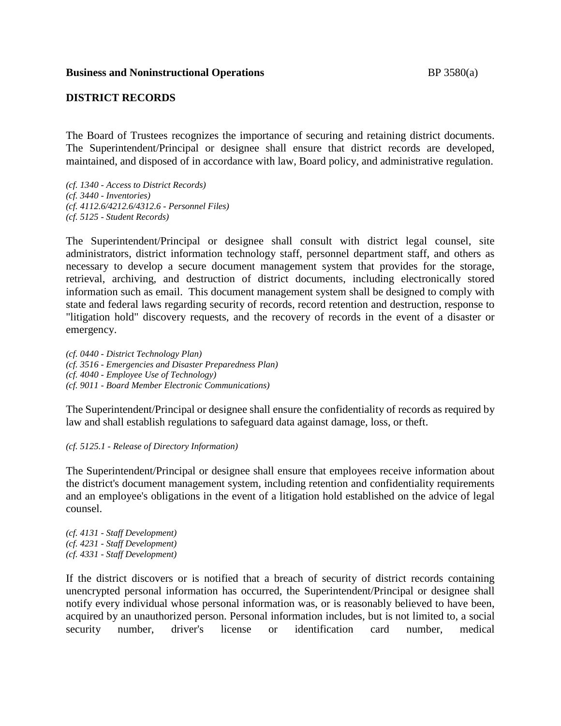### **DISTRICT RECORDS**

The Board of Trustees recognizes the importance of securing and retaining district documents. The Superintendent/Principal or designee shall ensure that district records are developed, maintained, and disposed of in accordance with law, Board policy, and administrative regulation.

*(cf. 1340 - Access to District Records) (cf. 3440 - Inventories) (cf. 4112.6/4212.6/4312.6 - Personnel Files) (cf. 5125 - Student Records)*

The Superintendent/Principal or designee shall consult with district legal counsel, site administrators, district information technology staff, personnel department staff, and others as necessary to develop a secure document management system that provides for the storage, retrieval, archiving, and destruction of district documents, including electronically stored information such as email. This document management system shall be designed to comply with state and federal laws regarding security of records, record retention and destruction, response to "litigation hold" discovery requests, and the recovery of records in the event of a disaster or emergency.

*(cf. 0440 - District Technology Plan) (cf. 3516 - Emergencies and Disaster Preparedness Plan) (cf. 4040 - Employee Use of Technology) (cf. 9011 - Board Member Electronic Communications)*

The Superintendent/Principal or designee shall ensure the confidentiality of records as required by law and shall establish regulations to safeguard data against damage, loss, or theft.

*(cf. 5125.1 - Release of Directory Information)*

The Superintendent/Principal or designee shall ensure that employees receive information about the district's document management system, including retention and confidentiality requirements and an employee's obligations in the event of a litigation hold established on the advice of legal counsel.

*(cf. 4131 - Staff Development) (cf. 4231 - Staff Development) (cf. 4331 - Staff Development)*

If the district discovers or is notified that a breach of security of district records containing unencrypted personal information has occurred, the Superintendent/Principal or designee shall notify every individual whose personal information was, or is reasonably believed to have been, acquired by an unauthorized person. Personal information includes, but is not limited to, a social security number, driver's license or identification card number, medical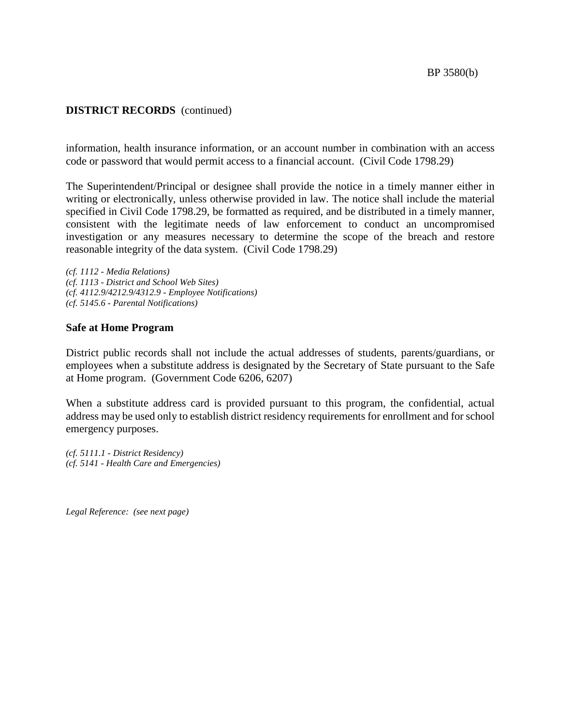## **DISTRICT RECORDS** (continued)

information, health insurance information, or an account number in combination with an access code or password that would permit access to a financial account. (Civil Code 1798.29)

The Superintendent/Principal or designee shall provide the notice in a timely manner either in writing or electronically, unless otherwise provided in law. The notice shall include the material specified in Civil Code 1798.29, be formatted as required, and be distributed in a timely manner, consistent with the legitimate needs of law enforcement to conduct an uncompromised investigation or any measures necessary to determine the scope of the breach and restore reasonable integrity of the data system. (Civil Code 1798.29)

*(cf. 1112 - Media Relations) (cf. 1113 - District and School Web Sites) (cf. 4112.9/4212.9/4312.9 - Employee Notifications) (cf. 5145.6 - Parental Notifications)*

### **Safe at Home Program**

District public records shall not include the actual addresses of students, parents/guardians, or employees when a substitute address is designated by the Secretary of State pursuant to the Safe at Home program. (Government Code 6206, 6207)

When a substitute address card is provided pursuant to this program, the confidential, actual address may be used only to establish district residency requirements for enrollment and for school emergency purposes.

*(cf. 5111.1 - District Residency) (cf. 5141 - Health Care and Emergencies)*

*Legal Reference: (see next page)*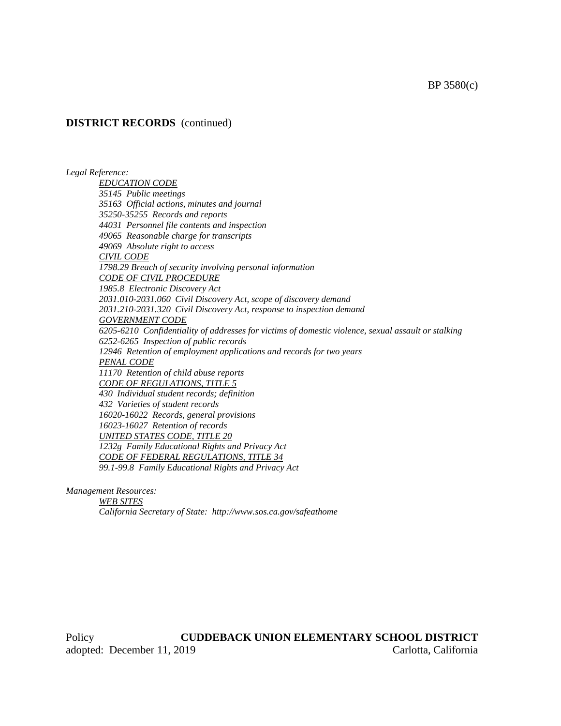### **DISTRICT RECORDS** (continued)

*Legal Reference:*

*EDUCATION CODE 35145 Public meetings 35163 Official actions, minutes and journal 35250-35255 Records and reports 44031 Personnel file contents and inspection 49065 Reasonable charge for transcripts 49069 Absolute right to access CIVIL CODE 1798.29 Breach of security involving personal information CODE OF CIVIL PROCEDURE 1985.8 Electronic Discovery Act 2031.010-2031.060 Civil Discovery Act, scope of discovery demand 2031.210-2031.320 Civil Discovery Act, response to inspection demand GOVERNMENT CODE 6205-6210 Confidentiality of addresses for victims of domestic violence, sexual assault or stalking 6252-6265 Inspection of public records 12946 Retention of employment applications and records for two years PENAL CODE 11170 Retention of child abuse reports CODE OF REGULATIONS, TITLE 5 430 Individual student records; definition 432 Varieties of student records 16020-16022 Records, general provisions 16023-16027 Retention of records UNITED STATES CODE, TITLE 20 1232g Family Educational Rights and Privacy Act CODE OF FEDERAL REGULATIONS, TITLE 34*

*99.1-99.8 Family Educational Rights and Privacy Act*

*Management Resources:*

*WEB SITES California Secretary of State: http://www.sos.ca.gov/safeathome*

Policy **CUDDEBACK UNION ELEMENTARY SCHOOL DISTRICT** adopted: December 11, 2019 Carlotta, California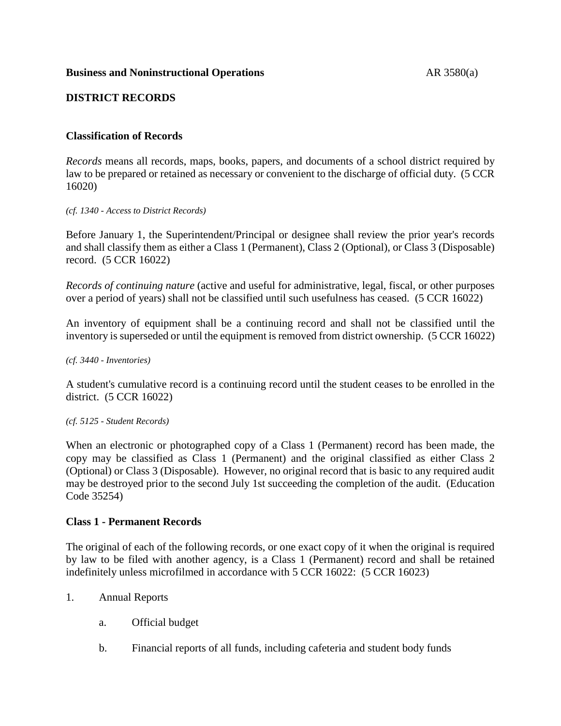## **Business and Noninstructional Operations** AR 3580(a)

# **DISTRICT RECORDS**

## **Classification of Records**

*Records* means all records, maps, books, papers, and documents of a school district required by law to be prepared or retained as necessary or convenient to the discharge of official duty. (5 CCR 16020)

#### *(cf. 1340 - Access to District Records)*

Before January 1, the Superintendent/Principal or designee shall review the prior year's records and shall classify them as either a Class 1 (Permanent), Class 2 (Optional), or Class 3 (Disposable) record. (5 CCR 16022)

*Records of continuing nature* (active and useful for administrative, legal, fiscal, or other purposes over a period of years) shall not be classified until such usefulness has ceased. (5 CCR 16022)

An inventory of equipment shall be a continuing record and shall not be classified until the inventory is superseded or until the equipment is removed from district ownership. (5 CCR 16022)

#### *(cf. 3440 - Inventories)*

A student's cumulative record is a continuing record until the student ceases to be enrolled in the district. (5 CCR 16022)

### *(cf. 5125 - Student Records)*

When an electronic or photographed copy of a Class 1 (Permanent) record has been made, the copy may be classified as Class 1 (Permanent) and the original classified as either Class 2 (Optional) or Class 3 (Disposable). However, no original record that is basic to any required audit may be destroyed prior to the second July 1st succeeding the completion of the audit. (Education Code 35254)

### **Class 1 - Permanent Records**

The original of each of the following records, or one exact copy of it when the original is required by law to be filed with another agency, is a Class 1 (Permanent) record and shall be retained indefinitely unless microfilmed in accordance with 5 CCR 16022: (5 CCR 16023)

- 1. Annual Reports
	- a. Official budget
	- b. Financial reports of all funds, including cafeteria and student body funds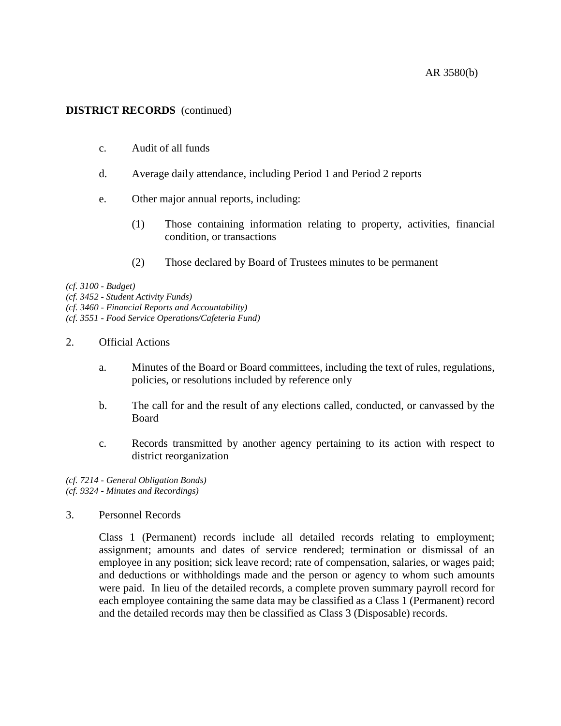# **DISTRICT RECORDS** (continued)

- c. Audit of all funds
- d. Average daily attendance, including Period 1 and Period 2 reports
- e. Other major annual reports, including:
	- (1) Those containing information relating to property, activities, financial condition, or transactions
	- (2) Those declared by Board of Trustees minutes to be permanent

*(cf. 3100 - Budget)*

*(cf. 3452 - Student Activity Funds)*

*(cf. 3460 - Financial Reports and Accountability)*

*(cf. 3551 - Food Service Operations/Cafeteria Fund)*

- 2. Official Actions
	- a. Minutes of the Board or Board committees, including the text of rules, regulations, policies, or resolutions included by reference only
	- b. The call for and the result of any elections called, conducted, or canvassed by the Board
	- c. Records transmitted by another agency pertaining to its action with respect to district reorganization

*(cf. 7214 - General Obligation Bonds) (cf. 9324 - Minutes and Recordings)*

3. Personnel Records

Class 1 (Permanent) records include all detailed records relating to employment; assignment; amounts and dates of service rendered; termination or dismissal of an employee in any position; sick leave record; rate of compensation, salaries, or wages paid; and deductions or withholdings made and the person or agency to whom such amounts were paid. In lieu of the detailed records, a complete proven summary payroll record for each employee containing the same data may be classified as a Class 1 (Permanent) record and the detailed records may then be classified as Class 3 (Disposable) records.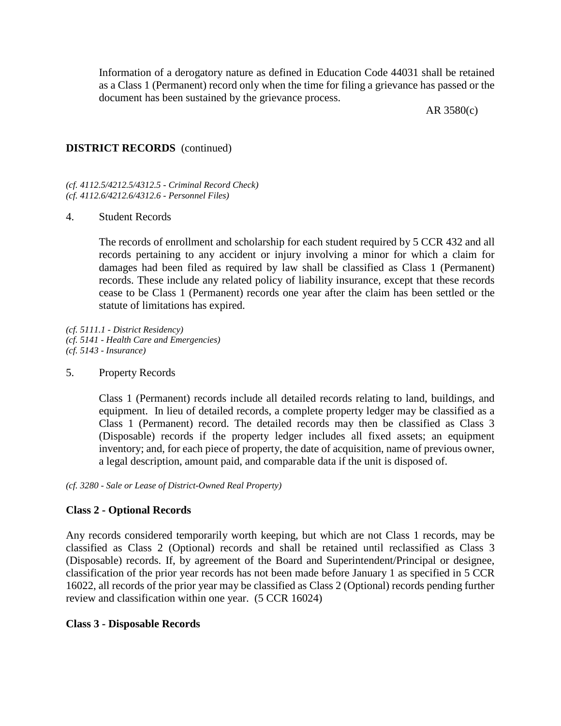Information of a derogatory nature as defined in Education Code 44031 shall be retained as a Class 1 (Permanent) record only when the time for filing a grievance has passed or the document has been sustained by the grievance process.

AR 3580(c)

## **DISTRICT RECORDS** (continued)

*(cf. 4112.5/4212.5/4312.5 - Criminal Record Check) (cf. 4112.6/4212.6/4312.6 - Personnel Files)*

### 4. Student Records

The records of enrollment and scholarship for each student required by 5 CCR 432 and all records pertaining to any accident or injury involving a minor for which a claim for damages had been filed as required by law shall be classified as Class 1 (Permanent) records. These include any related policy of liability insurance, except that these records cease to be Class 1 (Permanent) records one year after the claim has been settled or the statute of limitations has expired.

*(cf. 5111.1 - District Residency) (cf. 5141 - Health Care and Emergencies) (cf. 5143 - Insurance)*

5. Property Records

Class 1 (Permanent) records include all detailed records relating to land, buildings, and equipment. In lieu of detailed records, a complete property ledger may be classified as a Class 1 (Permanent) record. The detailed records may then be classified as Class 3 (Disposable) records if the property ledger includes all fixed assets; an equipment inventory; and, for each piece of property, the date of acquisition, name of previous owner, a legal description, amount paid, and comparable data if the unit is disposed of.

*(cf. 3280 - Sale or Lease of District-Owned Real Property)*

### **Class 2 - Optional Records**

Any records considered temporarily worth keeping, but which are not Class 1 records, may be classified as Class 2 (Optional) records and shall be retained until reclassified as Class 3 (Disposable) records. If, by agreement of the Board and Superintendent/Principal or designee, classification of the prior year records has not been made before January 1 as specified in 5 CCR 16022, all records of the prior year may be classified as Class 2 (Optional) records pending further review and classification within one year. (5 CCR 16024)

### **Class 3 - Disposable Records**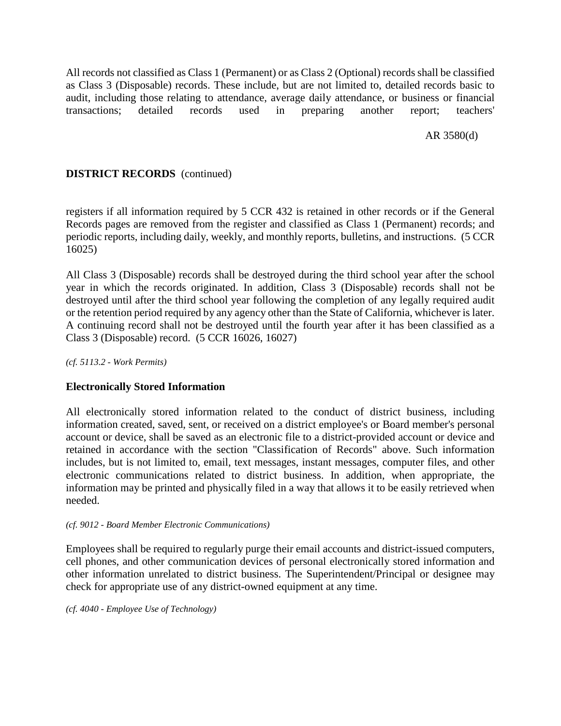All records not classified as Class 1 (Permanent) or as Class 2 (Optional) records shall be classified as Class 3 (Disposable) records. These include, but are not limited to, detailed records basic to audit, including those relating to attendance, average daily attendance, or business or financial transactions; detailed records used in preparing another report; teachers'

AR 3580(d)

# **DISTRICT RECORDS** (continued)

registers if all information required by 5 CCR 432 is retained in other records or if the General Records pages are removed from the register and classified as Class 1 (Permanent) records; and periodic reports, including daily, weekly, and monthly reports, bulletins, and instructions. (5 CCR 16025)

All Class 3 (Disposable) records shall be destroyed during the third school year after the school year in which the records originated. In addition, Class 3 (Disposable) records shall not be destroyed until after the third school year following the completion of any legally required audit or the retention period required by any agency other than the State of California, whichever is later. A continuing record shall not be destroyed until the fourth year after it has been classified as a Class 3 (Disposable) record. (5 CCR 16026, 16027)

*(cf. 5113.2 - Work Permits)*

## **Electronically Stored Information**

All electronically stored information related to the conduct of district business, including information created, saved, sent, or received on a district employee's or Board member's personal account or device, shall be saved as an electronic file to a district-provided account or device and retained in accordance with the section "Classification of Records" above. Such information includes, but is not limited to, email, text messages, instant messages, computer files, and other electronic communications related to district business. In addition, when appropriate, the information may be printed and physically filed in a way that allows it to be easily retrieved when needed.

### *(cf. 9012 - Board Member Electronic Communications)*

Employees shall be required to regularly purge their email accounts and district-issued computers, cell phones, and other communication devices of personal electronically stored information and other information unrelated to district business. The Superintendent/Principal or designee may check for appropriate use of any district-owned equipment at any time.

*(cf. 4040 - Employee Use of Technology)*